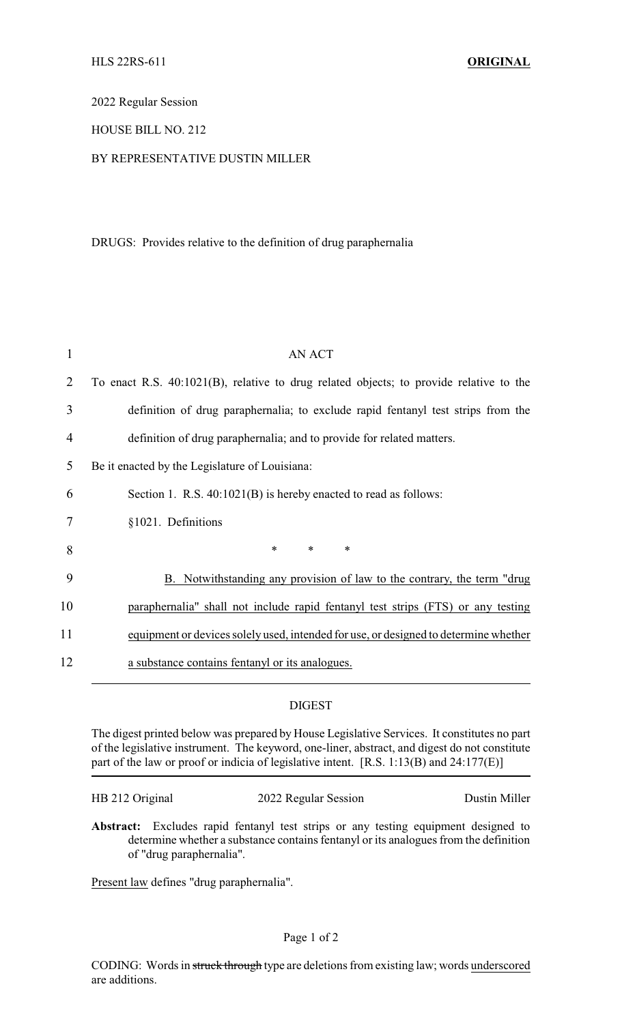2022 Regular Session

## HOUSE BILL NO. 212

## BY REPRESENTATIVE DUSTIN MILLER

## DRUGS: Provides relative to the definition of drug paraphernalia

| 1  | <b>AN ACT</b>                                                                          |
|----|----------------------------------------------------------------------------------------|
| 2  | To enact R.S. 40:1021(B), relative to drug related objects; to provide relative to the |
| 3  | definition of drug paraphernalia; to exclude rapid fentanyl test strips from the       |
| 4  | definition of drug paraphernalia; and to provide for related matters.                  |
| 5  | Be it enacted by the Legislature of Louisiana:                                         |
| 6  | Section 1. R.S. 40:1021(B) is hereby enacted to read as follows:                       |
| 7  | §1021. Definitions                                                                     |
| 8  | $\ast$<br>∗<br>$\ast$                                                                  |
| 9  | B. Notwithstanding any provision of law to the contrary, the term "drug                |
| 10 | paraphernalia" shall not include rapid fentanyl test strips (FTS) or any testing       |
| 11 | equipment or devices solely used, intended for use, or designed to determine whether   |
| 12 | a substance contains fentanyl or its analogues.                                        |
|    |                                                                                        |

## DIGEST

The digest printed below was prepared by House Legislative Services. It constitutes no part of the legislative instrument. The keyword, one-liner, abstract, and digest do not constitute part of the law or proof or indicia of legislative intent. [R.S. 1:13(B) and 24:177(E)]

| HB 212 Original | 2022 Regular Session | Dustin Miller |
|-----------------|----------------------|---------------|
|                 |                      |               |

**Abstract:** Excludes rapid fentanyl test strips or any testing equipment designed to determine whether a substance contains fentanyl or its analogues from the definition of "drug paraphernalia".

Present law defines "drug paraphernalia".